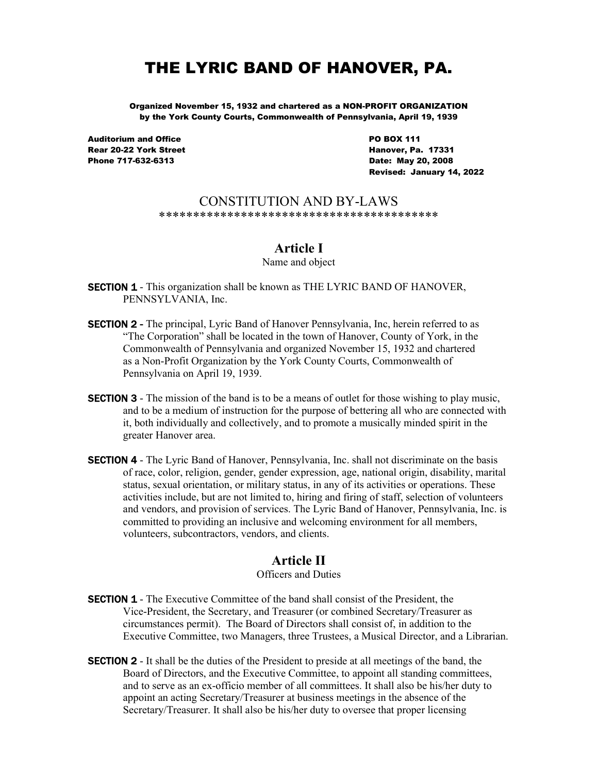# THE LYRIC BAND OF HANOVER, PA.

Organized November 15, 1932 and chartered as a NON-PROFIT ORGANIZATION by the York County Courts, Commonwealth of Pennsylvania, April 19, 1939

Auditorium and Office PO BOX 111 Rear 20-22 York Street **Hanover, Pa. 17331** Phone 717-632-6313 **Date: May 20, 2008** 

Revised: January 14, 2022

#### CONSTITUTION AND BY-LAWS \*\*\*\*\*\*\*\*\*\*\*\*\*\*\*\*\*\*\*\*\*\*\*\*\*\*\*\*\*\*\*\*\*\*\*\*\*\*\*\*\*

### Article I

#### Name and object

**SECTION 1** - This organization shall be known as THE LYRIC BAND OF HANOVER, PENNSYLVANIA, Inc.

- **SECTION 2** The principal, Lyric Band of Hanover Pennsylvania, Inc, herein referred to as "The Corporation" shall be located in the town of Hanover, County of York, in the Commonwealth of Pennsylvania and organized November 15, 1932 and chartered as a Non-Profit Organization by the York County Courts, Commonwealth of Pennsylvania on April 19, 1939.
- **SECTION 3** The mission of the band is to be a means of outlet for those wishing to play music, and to be a medium of instruction for the purpose of bettering all who are connected with it, both individually and collectively, and to promote a musically minded spirit in the greater Hanover area.
- **SECTION 4** The Lyric Band of Hanover, Pennsylvania, Inc. shall not discriminate on the basis of race, color, religion, gender, gender expression, age, national origin, disability, marital status, sexual orientation, or military status, in any of its activities or operations. These activities include, but are not limited to, hiring and firing of staff, selection of volunteers and vendors, and provision of services. The Lyric Band of Hanover, Pennsylvania, Inc. is committed to providing an inclusive and welcoming environment for all members, volunteers, subcontractors, vendors, and clients.

### Article II

#### Officers and Duties

- **SECTION 1** The Executive Committee of the band shall consist of the President, the Vice-President, the Secretary, and Treasurer (or combined Secretary/Treasurer as circumstances permit). The Board of Directors shall consist of, in addition to the Executive Committee, two Managers, three Trustees, a Musical Director, and a Librarian.
- **SECTION 2** It shall be the duties of the President to preside at all meetings of the band, the Board of Directors, and the Executive Committee, to appoint all standing committees, and to serve as an ex-officio member of all committees. It shall also be his/her duty to appoint an acting Secretary/Treasurer at business meetings in the absence of the Secretary/Treasurer. It shall also be his/her duty to oversee that proper licensing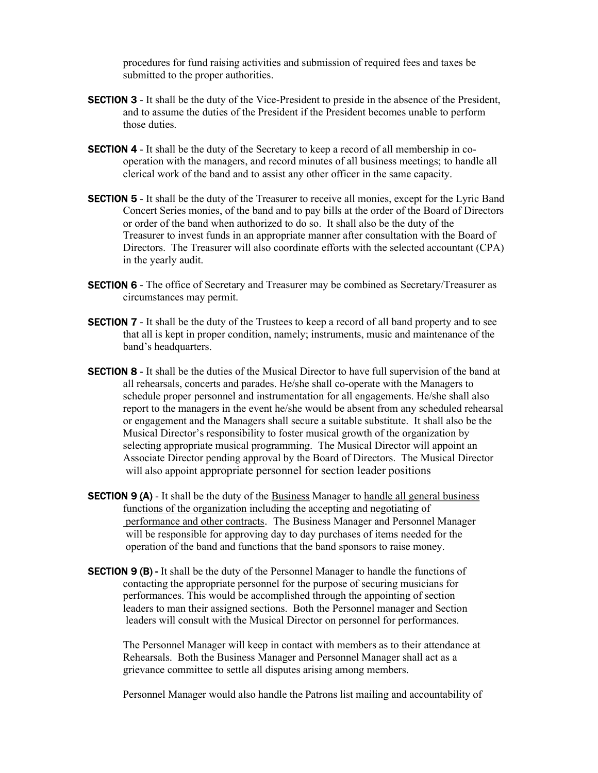procedures for fund raising activities and submission of required fees and taxes be submitted to the proper authorities.

- **SECTION 3** It shall be the duty of the Vice-President to preside in the absence of the President, and to assume the duties of the President if the President becomes unable to perform those duties.
- **SECTION 4** It shall be the duty of the Secretary to keep a record of all membership in co operation with the managers, and record minutes of all business meetings; to handle all clerical work of the band and to assist any other officer in the same capacity.
- **SECTION 5** It shall be the duty of the Treasurer to receive all monies, except for the Lyric Band Concert Series monies, of the band and to pay bills at the order of the Board of Directors or order of the band when authorized to do so. It shall also be the duty of the Treasurer to invest funds in an appropriate manner after consultation with the Board of Directors. The Treasurer will also coordinate efforts with the selected accountant (CPA) in the yearly audit.
- **SECTION 6** The office of Secretary and Treasurer may be combined as Secretary/Treasurer as circumstances may permit.
- **SECTION 7** It shall be the duty of the Trustees to keep a record of all band property and to see that all is kept in proper condition, namely; instruments, music and maintenance of the band's headquarters.
- **SECTION 8** It shall be the duties of the Musical Director to have full supervision of the band at all rehearsals, concerts and parades. He/she shall co-operate with the Managers to schedule proper personnel and instrumentation for all engagements. He/she shall also report to the managers in the event he/she would be absent from any scheduled rehearsal or engagement and the Managers shall secure a suitable substitute. It shall also be the Musical Director's responsibility to foster musical growth of the organization by selecting appropriate musical programming. The Musical Director will appoint an Associate Director pending approval by the Board of Directors. The Musical Director will also appoint appropriate personnel for section leader positions
- **SECTION 9 (A)** It shall be the duty of the Business Manager to handle all general business functions of the organization including the accepting and negotiating of performance and other contracts. The Business Manager and Personnel Manager will be responsible for approving day to day purchases of items needed for the operation of the band and functions that the band sponsors to raise money.
- **SECTION 9 (B) -** It shall be the duty of the Personnel Manager to handle the functions of contacting the appropriate personnel for the purpose of securing musicians for performances. This would be accomplished through the appointing of section leaders to man their assigned sections. Both the Personnel manager and Section leaders will consult with the Musical Director on personnel for performances.

 The Personnel Manager will keep in contact with members as to their attendance at Rehearsals. Both the Business Manager and Personnel Manager shall act as a grievance committee to settle all disputes arising among members.

Personnel Manager would also handle the Patrons list mailing and accountability of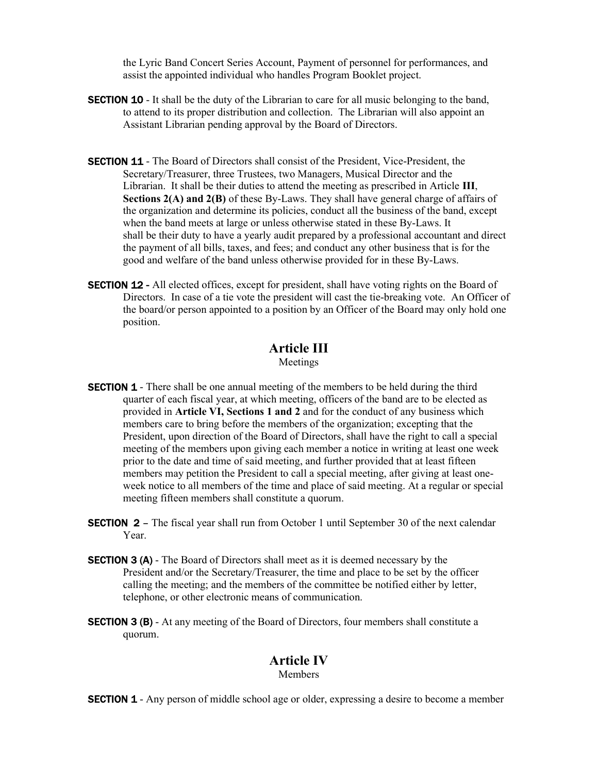the Lyric Band Concert Series Account, Payment of personnel for performances, and assist the appointed individual who handles Program Booklet project.

- **SECTION 10** It shall be the duty of the Librarian to care for all music belonging to the band, to attend to its proper distribution and collection. The Librarian will also appoint an Assistant Librarian pending approval by the Board of Directors.
- **SECTION 11** The Board of Directors shall consist of the President, Vice-President, the Secretary/Treasurer, three Trustees, two Managers, Musical Director and the Librarian. It shall be their duties to attend the meeting as prescribed in Article III, Sections 2(A) and 2(B) of these By-Laws. They shall have general charge of affairs of the organization and determine its policies, conduct all the business of the band, except when the band meets at large or unless otherwise stated in these By-Laws. It shall be their duty to have a yearly audit prepared by a professional accountant and direct the payment of all bills, taxes, and fees; and conduct any other business that is for the good and welfare of the band unless otherwise provided for in these By-Laws.
- **SECTION 12** All elected offices, except for president, shall have voting rights on the Board of Directors. In case of a tie vote the president will cast the tie-breaking vote. An Officer of the board/or person appointed to a position by an Officer of the Board may only hold one position.

# Article III

Meetings

- **SECTION 1** There shall be one annual meeting of the members to be held during the third quarter of each fiscal year, at which meeting, officers of the band are to be elected as provided in Article VI, Sections 1 and 2 and for the conduct of any business which members care to bring before the members of the organization; excepting that the President, upon direction of the Board of Directors, shall have the right to call a special meeting of the members upon giving each member a notice in writing at least one week prior to the date and time of said meeting, and further provided that at least fifteen members may petition the President to call a special meeting, after giving at least one week notice to all members of the time and place of said meeting. At a regular or special meeting fifteen members shall constitute a quorum.
- **SECTION 2** The fiscal year shall run from October 1 until September 30 of the next calendar Year.
- **SECTION 3 (A)** The Board of Directors shall meet as it is deemed necessary by the President and/or the Secretary/Treasurer, the time and place to be set by the officer calling the meeting; and the members of the committee be notified either by letter, telephone, or other electronic means of communication.
- **SECTION 3 (B)** At any meeting of the Board of Directors, four members shall constitute a quorum.

### Article IV

**Members** 

**SECTION 1** - Any person of middle school age or older, expressing a desire to become a member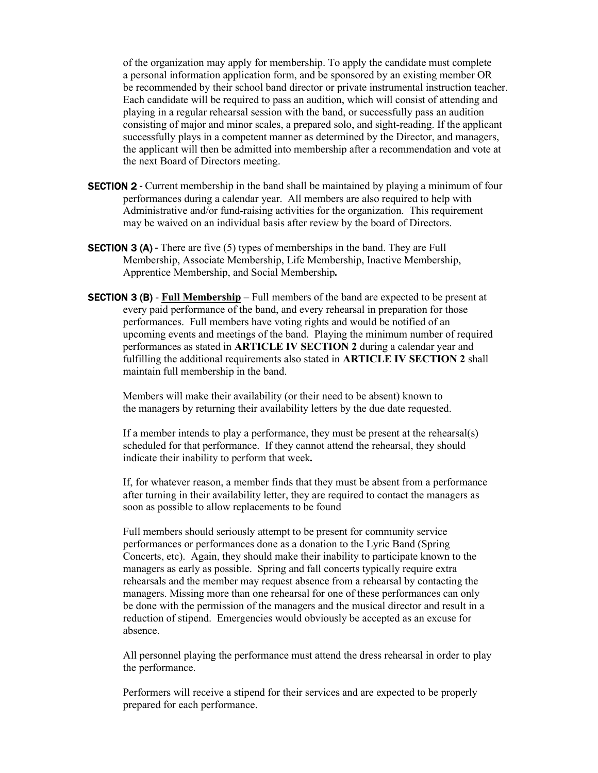of the organization may apply for membership. To apply the candidate must complete a personal information application form, and be sponsored by an existing member OR be recommended by their school band director or private instrumental instruction teacher. Each candidate will be required to pass an audition, which will consist of attending and playing in a regular rehearsal session with the band, or successfully pass an audition consisting of major and minor scales, a prepared solo, and sight-reading. If the applicant successfully plays in a competent manner as determined by the Director, and managers, the applicant will then be admitted into membership after a recommendation and vote at the next Board of Directors meeting.

- **SECTION 2** Current membership in the band shall be maintained by playing a minimum of four performances during a calendar year. All members are also required to help with Administrative and/or fund-raising activities for the organization. This requirement may be waived on an individual basis after review by the board of Directors.
- **SECTION 3 (A)** There are five (5) types of memberships in the band. They are Full Membership, Associate Membership, Life Membership, Inactive Membership, Apprentice Membership, and Social Membership.
- **SECTION 3 (B)** Full Membership Full members of the band are expected to be present at every paid performance of the band, and every rehearsal in preparation for those performances. Full members have voting rights and would be notified of an upcoming events and meetings of the band. Playing the minimum number of required performances as stated in ARTICLE IV SECTION 2 during a calendar year and fulfilling the additional requirements also stated in ARTICLE IV SECTION 2 shall maintain full membership in the band.

 Members will make their availability (or their need to be absent) known to the managers by returning their availability letters by the due date requested.

If a member intends to play a performance, they must be present at the rehearsal(s) scheduled for that performance. If they cannot attend the rehearsal, they should indicate their inability to perform that week.

 If, for whatever reason, a member finds that they must be absent from a performance after turning in their availability letter, they are required to contact the managers as soon as possible to allow replacements to be found

 Full members should seriously attempt to be present for community service performances or performances done as a donation to the Lyric Band (Spring Concerts, etc). Again, they should make their inability to participate known to the managers as early as possible. Spring and fall concerts typically require extra rehearsals and the member may request absence from a rehearsal by contacting the managers. Missing more than one rehearsal for one of these performances can only be done with the permission of the managers and the musical director and result in a reduction of stipend. Emergencies would obviously be accepted as an excuse for absence.

 All personnel playing the performance must attend the dress rehearsal in order to play the performance.

 Performers will receive a stipend for their services and are expected to be properly prepared for each performance.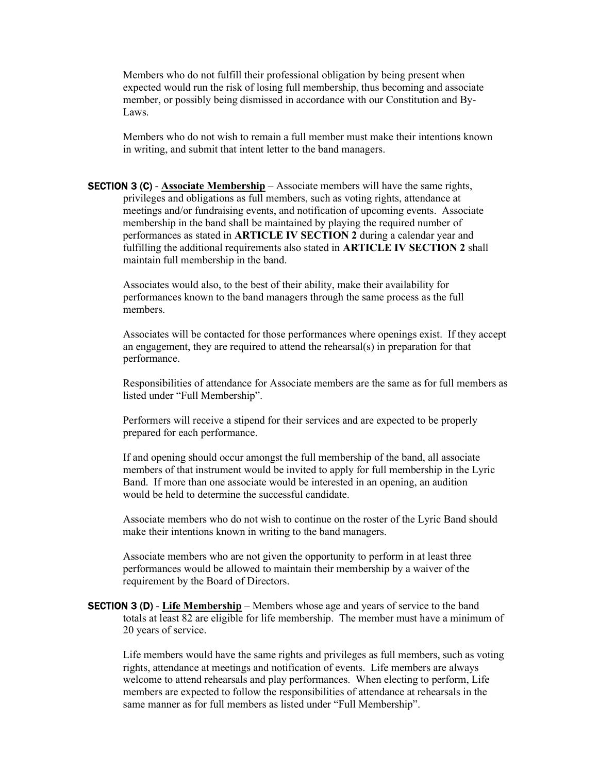Members who do not fulfill their professional obligation by being present when expected would run the risk of losing full membership, thus becoming and associate member, or possibly being dismissed in accordance with our Constitution and By- Laws.

 Members who do not wish to remain a full member must make their intentions known in writing, and submit that intent letter to the band managers.

**SECTION 3 (C)** - **Associate Membership** – Associate members will have the same rights, privileges and obligations as full members, such as voting rights, attendance at meetings and/or fundraising events, and notification of upcoming events. Associate membership in the band shall be maintained by playing the required number of performances as stated in ARTICLE IV SECTION 2 during a calendar year and fulfilling the additional requirements also stated in ARTICLE IV SECTION 2 shall maintain full membership in the band.

 Associates would also, to the best of their ability, make their availability for performances known to the band managers through the same process as the full members.

Associates will be contacted for those performances where openings exist. If they accept an engagement, they are required to attend the rehearsal(s) in preparation for that performance.

Responsibilities of attendance for Associate members are the same as for full members as listed under "Full Membership".

Performers will receive a stipend for their services and are expected to be properly prepared for each performance.

 If and opening should occur amongst the full membership of the band, all associate members of that instrument would be invited to apply for full membership in the Lyric Band. If more than one associate would be interested in an opening, an audition would be held to determine the successful candidate.

 Associate members who do not wish to continue on the roster of the Lyric Band should make their intentions known in writing to the band managers.

 Associate members who are not given the opportunity to perform in at least three performances would be allowed to maintain their membership by a waiver of the requirement by the Board of Directors.

**SECTION 3 (D) - Life Membership** – Members whose age and years of service to the band totals at least 82 are eligible for life membership. The member must have a minimum of 20 years of service.

Life members would have the same rights and privileges as full members, such as voting rights, attendance at meetings and notification of events. Life members are always welcome to attend rehearsals and play performances. When electing to perform, Life members are expected to follow the responsibilities of attendance at rehearsals in the same manner as for full members as listed under "Full Membership".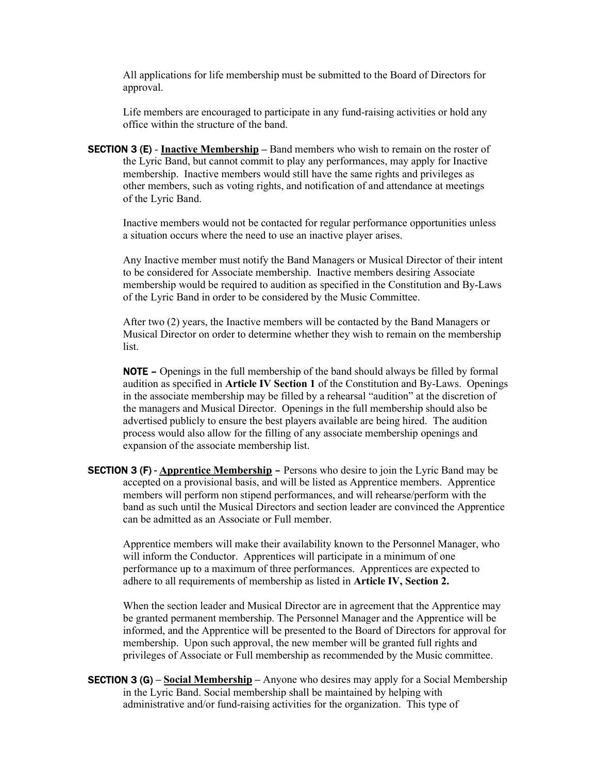All applications for life membership must be submitted to the Board of Directors for approval.

Life members are encouraged to participate in any fund-raising activities or hold any office within the structure of the band.

**SECTION 3 (E) - Inactive Membership** – Band members who wish to remain on the roster of the Lyric Band, but cannot commit to play any performances, may apply for Inactive membership. Inactive members would still have the same rights and privileges as other members, such as voting rights, and notification of and attendance at meetings of the Lyric Band.

Inactive members would not be contacted for regular performance opportunities unless a situation occurs where the need to use an inactive player arises.

Any Inactive member must notify the Band Managers or Musical Director of their intent to be considered for Associate membership. Inactive members desiring Associate membership would be required to audition as specified in the Constitution and By-Laws of the Lyric Band in order to be considered by the Music Committee.

After two (2) years, the Inactive members will be contacted by the Band Managers or Musical Director on order to determine whether they wish to remain on the membership list.

NOTE – Openings in the full membership of the band should always be filled by formal audition as specified in Article IV Section 1 of the Constitution and By-Laws. Openings in the associate membership may be filled by a rehearsal "audition" at the discretion of the managers and Musical Director. Openings in the full membership should also be advertised publicly to ensure the best players available are being hired. The audition process would also allow for the filling of any associate membership openings and expansion of the associate membership list.

**SECTION 3 (F)** - Apprentice Membership – Persons who desire to join the Lyric Band may be accepted on a provisional basis, and will be listed as Apprentice members. Apprentice members will perform non stipend performances, and will rehearse/perform with the band as such until the Musical Directors and section leader are convinced the Apprentice can be admitted as an Associate or Full member.

 Apprentice members will make their availability known to the Personnel Manager, who will inform the Conductor. Apprentices will participate in a minimum of one performance up to a maximum of three performances. Apprentices are expected to adhere to all requirements of membership as listed in Article IV, Section 2.

When the section leader and Musical Director are in agreement that the Apprentice may be granted permanent membership. The Personnel Manager and the Apprentice will be informed, and the Apprentice will be presented to the Board of Directors for approval for membership. Upon such approval, the new member will be granted full rights and privileges of Associate or Full membership as recommended by the Music committee.

**SECTION 3 (G)** – Social Membership – Anyone who desires may apply for a Social Membership in the Lyric Band. Social membership shall be maintained by helping with administrative and/or fund-raising activities for the organization. This type of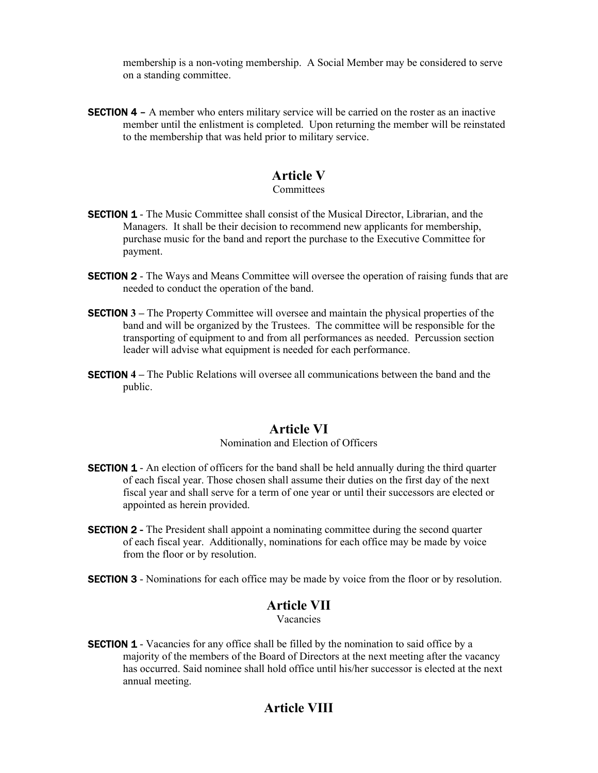membership is a non-voting membership. A Social Member may be considered to serve on a standing committee.

**SECTION 4** – A member who enters military service will be carried on the roster as an inactive member until the enlistment is completed. Upon returning the member will be reinstated to the membership that was held prior to military service.

# Article V

#### Committees

- **SECTION 1** The Music Committee shall consist of the Musical Director, Librarian, and the Managers. It shall be their decision to recommend new applicants for membership, purchase music for the band and report the purchase to the Executive Committee for payment.
- **SECTION 2** The Ways and Means Committee will oversee the operation of raising funds that are needed to conduct the operation of the band.
- **SECTION 3** The Property Committee will oversee and maintain the physical properties of the band and will be organized by the Trustees. The committee will be responsible for the transporting of equipment to and from all performances as needed. Percussion section leader will advise what equipment is needed for each performance.
- **SECTION 4** The Public Relations will oversee all communications between the band and the public.

### Article VI

#### Nomination and Election of Officers

- **SECTION 1** An election of officers for the band shall be held annually during the third quarter of each fiscal year. Those chosen shall assume their duties on the first day of the next fiscal year and shall serve for a term of one year or until their successors are elected or appointed as herein provided.
- **SECTION 2** The President shall appoint a nominating committee during the second quarter of each fiscal year. Additionally, nominations for each office may be made by voice from the floor or by resolution.
- **SECTION 3** Nominations for each office may be made by voice from the floor or by resolution.

### Article VII

Vacancies

**SECTION 1** - Vacancies for any office shall be filled by the nomination to said office by a majority of the members of the Board of Directors at the next meeting after the vacancy has occurred. Said nominee shall hold office until his/her successor is elected at the next annual meeting.

# Article VIII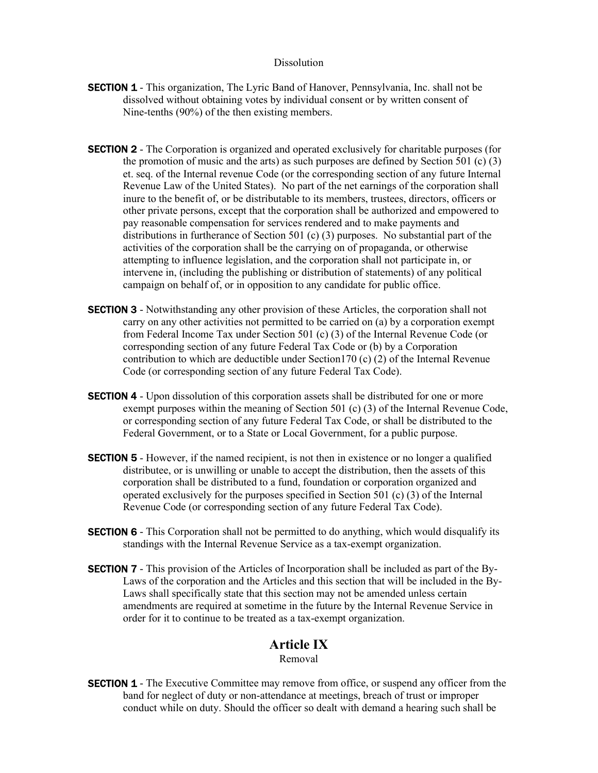#### **Dissolution**

- **SECTION 1** This organization, The Lyric Band of Hanover, Pennsylvania, Inc. shall not be dissolved without obtaining votes by individual consent or by written consent of Nine-tenths (90%) of the then existing members.
- **SECTION 2** The Corporation is organized and operated exclusively for charitable purposes (for the promotion of music and the arts) as such purposes are defined by Section 501 (c)  $(3)$  et. seq. of the Internal revenue Code (or the corresponding section of any future Internal Revenue Law of the United States). No part of the net earnings of the corporation shall inure to the benefit of, or be distributable to its members, trustees, directors, officers or other private persons, except that the corporation shall be authorized and empowered to pay reasonable compensation for services rendered and to make payments and distributions in furtherance of Section 501 (c) (3) purposes. No substantial part of the activities of the corporation shall be the carrying on of propaganda, or otherwise attempting to influence legislation, and the corporation shall not participate in, or intervene in, (including the publishing or distribution of statements) of any political campaign on behalf of, or in opposition to any candidate for public office.
- **SECTION 3** Notwithstanding any other provision of these Articles, the corporation shall not carry on any other activities not permitted to be carried on (a) by a corporation exempt from Federal Income Tax under Section 501 (c) (3) of the Internal Revenue Code (or corresponding section of any future Federal Tax Code or (b) by a Corporation contribution to which are deductible under Section  $(170)$  (c)  $(2)$  of the Internal Revenue Code (or corresponding section of any future Federal Tax Code).
- **SECTION 4** Upon dissolution of this corporation assets shall be distributed for one or more exempt purposes within the meaning of Section 501 (c) (3) of the Internal Revenue Code, or corresponding section of any future Federal Tax Code, or shall be distributed to the Federal Government, or to a State or Local Government, for a public purpose.
- **SECTION 5** However, if the named recipient, is not then in existence or no longer a qualified distributee, or is unwilling or unable to accept the distribution, then the assets of this corporation shall be distributed to a fund, foundation or corporation organized and operated exclusively for the purposes specified in Section 501 (c) (3) of the Internal Revenue Code (or corresponding section of any future Federal Tax Code).
- **SECTION 6** This Corporation shall not be permitted to do anything, which would disqualify its standings with the Internal Revenue Service as a tax-exempt organization.
- **SECTION 7** This provision of the Articles of Incorporation shall be included as part of the By-Laws of the corporation and the Articles and this section that will be included in the By-Laws shall specifically state that this section may not be amended unless certain amendments are required at sometime in the future by the Internal Revenue Service in order for it to continue to be treated as a tax-exempt organization.

#### Article IX

Removal

**SECTION 1** - The Executive Committee may remove from office, or suspend any officer from the band for neglect of duty or non-attendance at meetings, breach of trust or improper conduct while on duty. Should the officer so dealt with demand a hearing such shall be